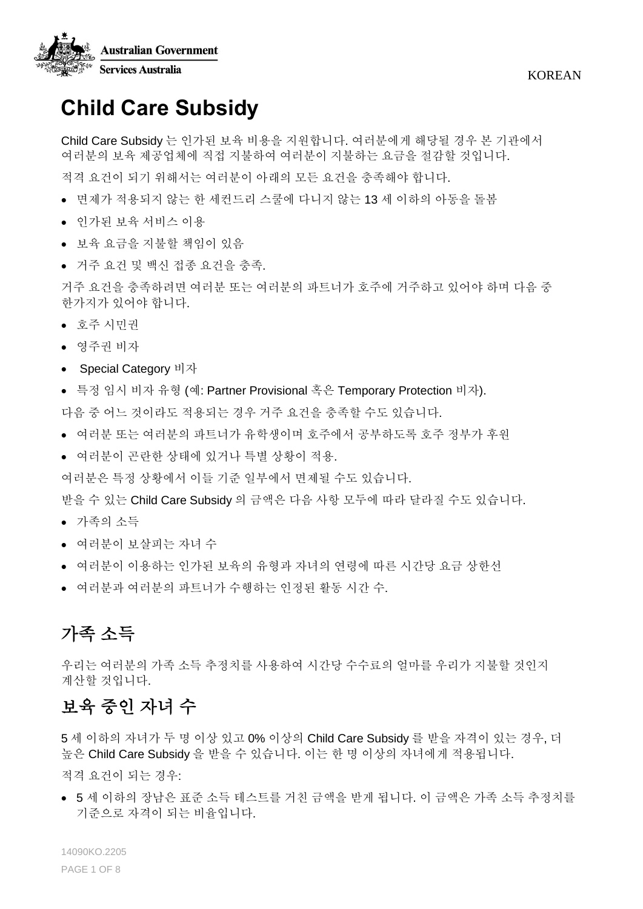

KOREAN

# **Child Care Subsidy**

Child Care Subsidy 는 인가된 보육 비용을 지원합니다. 여러분에게 해당될 경우 본 기관에서 여러분의 보육 제공업체에 직접 지불하여 여러분이 지불하는 요금을 절감할 것입니다.

적격 요건이 되기 위해서는 여러분이 아래의 모든 요건을 충족해야 합니다.

- 면제가 적용되지 않는 한 세컨드리 스쿨에 다니지 않는 13 세 이하의 아동을 돌봄
- 인가된 보육 서비스 이용
- 보육 요금을 지불할 책임이 있음
- 거주 요건 및 백신 접종 요건을 충족.

거주 요건을 충족하려면 여러분 또는 여러분의 파트너가 호주에 거주하고 있어야 하며 다음 중 한가지가 있어야 합니다.

- 호주 시민권
- 영주권 비자
- Special Category 비자
- 특정 임시 비자 유형 (예: Partner Provisional 혹은 Temporary Protection 비자).

다음 중 어느 것이라도 적용되는 경우 거주 요건을 충족할 수도 있습니다.

- 여러분 또는 여러분의 파트너가 유학생이며 호주에서 공부하도록 호주 정부가 후원
- 여러분이 곤란한 상태에 있거나 특별 상황이 적용.

여러분은 특정 상황에서 이들 기준 일부에서 면제될 수도 있습니다.

받을 수 있는 Child Care Subsidy 의 금액은 다음 사항 모두에 따라 달라질 수도 있습니다.

- 가족의 소득
- 여러분이 보살피는 자녀 수
- 여러분이 이용하는 인가된 보육의 유형과 자녀의 연령에 따른 시간당 요금 상한선
- 여러분과 여러분의 파트너가 수행하는 인정된 활동 시간 수.

## 가족 소득

우리는 여러분의 가족 소득 추정치를 사용하여 시간당 수수료의 얼마를 우리가 지불할 것인지 계산할 것입니다.

### 보육 중인 자녀 수

5 세 이하의 자녀가 두 명 이상 있고 0% 이상의 Child Care Subsidy 를 받을 자격이 있는 경우, 더 높은 Child Care Subsidy 을 받을 수 있습니다. 이는 한 명 이상의 자녀에게 적용됩니다.

적격 요건이 되는 경우:

• 5 세 이하의 장남은 표준 소득 테스트를 거친 금액을 받게 됩니다. 이 금액은 가족 소득 추정치를 기준으로 자격이 되는 비율입니다.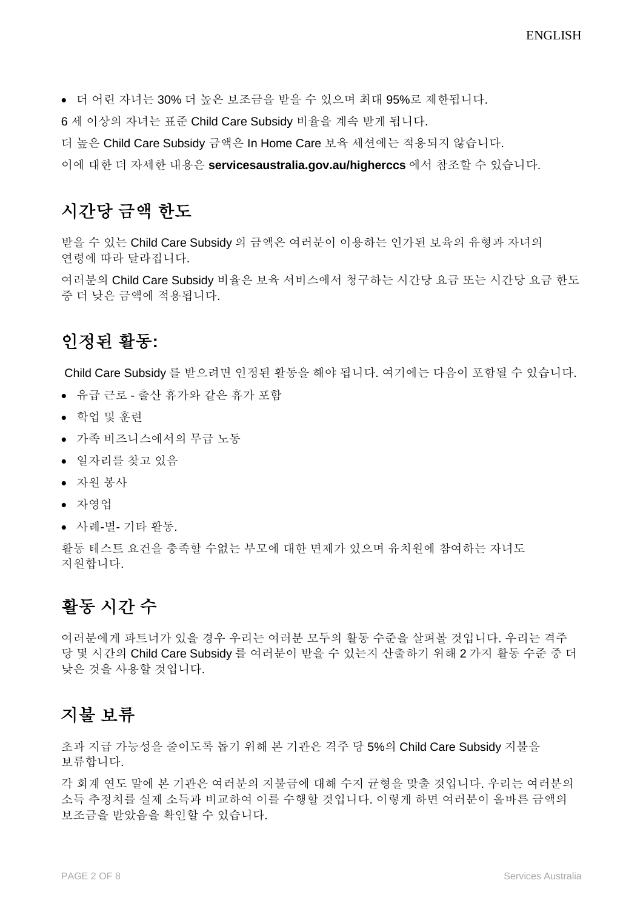• 더 어린 자녀는 30% 더 높은 보조금을 받을 수 있으며 최대 95%로 제한됩니다.

6 세 이상의 자녀는 표준 Child Care Subsidy 비율을 계속 받게 됩니다.

더 높은 Child Care Subsidy 금액은 In Home Care 보육 세션에는 적용되지 않습니다.

이에 대한 더 자세한 내용은 **servicesaustralia.gov.au/higherccs** 에서 참조할 수 있습니다.

### 시간당 금액 한도

받을 수 있는 Child Care Subsidy 의 금액은 여러분이 이용하는 인가된 보육의 유형과 자녀의 연령에 따라 달라집니다.

여러분의 Child Care Subsidy 비율은 보육 서비스에서 청구하는 시간당 요금 또는 시간당 요금 한도 중 더 낮은 금액에 적용됩니다.

### 인정된 활동**:**

Child Care Subsidy 를 받으려면 인정된 활동을 해야 됩니다. 여기에는 다음이 포함될 수 있습니다.

- 유급 근로 출산 휴가와 같은 휴가 포함
- 학업 및 훈련
- 가족 비즈니스에서의 무급 노동
- 일자리를 찾고 있음
- 자원 봉사
- 자영업
- 사례-별- 기타 활동.

활동 테스트 요건을 충족할 수없는 부모에 대한 면제가 있으며 유치원에 참여하는 자녀도 지원합니다.

### 활동 시간 수

여러분에게 파트너가 있을 경우 우리는 여러분 모두의 활동 수준을 살펴볼 것입니다. 우리는 격주 당 몇 시간의 Child Care Subsidy 를 여러분이 받을 수 있는지 산출하기 위해 2 가지 활동 수준 중 더 낮은 것을 사용할 것입니다.

#### 지불 보류

초과 지급 가능성을 줄이도록 돕기 위해 본 기관은 격주 당 5%의 Child Care Subsidy 지불을 보류합니다.

각 회계 연도 말에 본 기관은 여러분의 지불금에 대해 수지 균형을 맞출 것입니다. 우리는 여러분의 소득 추정치를 실제 소득과 비교하여 이를 수행할 것입니다. 이렇게 하면 여러분이 올바른 금액의 보조금을 받았음을 확인할 수 있습니다.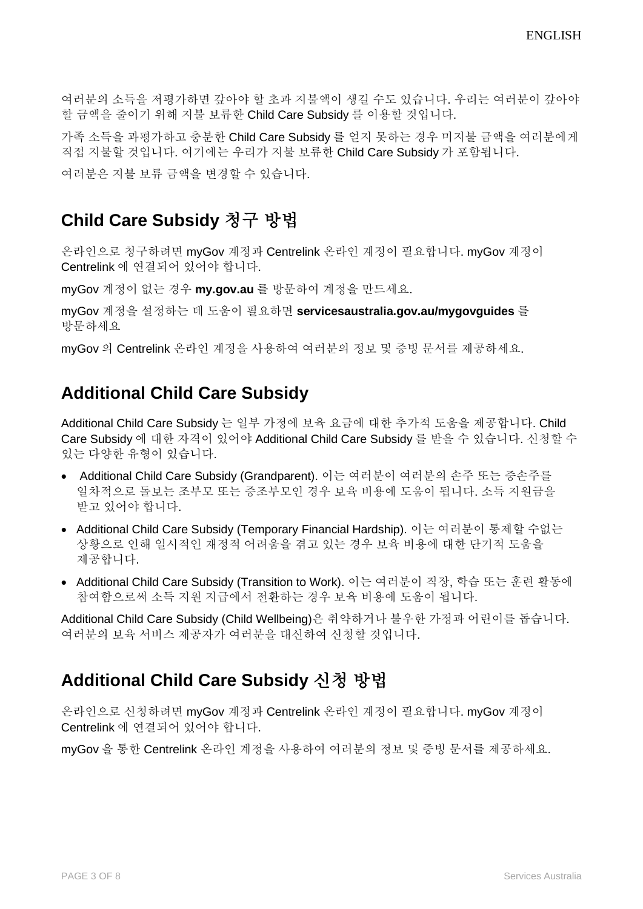여러분의 소득을 저평가하면 갚아야 할 초과 지불액이 생길 수도 있습니다. 우리는 여러분이 갚아야 할 금액을 줄이기 위해 지불 보류한 Child Care Subsidy 를 이용할 것입니다.

가족 소득을 과평가하고 충분한 Child Care Subsidy 를 얻지 못하는 경우 미지불 금액을 여러분에게 직접 지불할 것입니다. 여기에는 우리가 지불 보류한 Child Care Subsidy 가 포함됩니다.

여러분은 지불 보류 금액을 변경할 수 있습니다.

#### **Child Care Subsidy** 청구 방법

온라인으로 청구하려면 myGov 계정과 Centrelink 온라인 계정이 필요합니다. myGov 계정이 Centrelink 에 연결되어 있어야 합니다.

myGov 계정이 없는 경우 **my.gov.au** 를 방문하여 계정을 만드세요.

myGov 계정을 설정하는 데 도움이 필요하면 **servicesaustralia.gov.au/mygovguides** 를 방문하세요

myGov 의 Centrelink 온라인 계정을 사용하여 여러분의 정보 및 증빙 문서를 제공하세요.

### **Additional Child Care Subsidy**

Additional Child Care Subsidy 는 일부 가정에 보육 요금에 대한 추가적 도움을 제공합니다. Child Care Subsidy 에 대한 자격이 있어야 Additional Child Care Subsidy 를 받을 수 있습니다. 신청할 수 있는 다양한 유형이 있습니다.

- Additional Child Care Subsidy (Grandparent). 이는 여러분이 여러분의 손주 또는 증손주를 일차적으로 돌보는 조부모 또는 증조부모인 경우 보육 비용에 도움이 됩니다. 소득 지원금을 받고 있어야 합니다.
- Additional Child Care Subsidy (Temporary Financial Hardship). 이는 여러분이 통제할 수없는 상황으로 인해 일시적인 재정적 어려움을 겪고 있는 경우 보육 비용에 대한 단기적 도움을 제공합니다.
- Additional Child Care Subsidy (Transition to Work). 이는 여러분이 직장, 학습 또는 훈련 활동에 참여함으로써 소득 지원 지급에서 전환하는 경우 보육 비용에 도움이 됩니다.

Additional Child Care Subsidy (Child Wellbeing)은 취약하거나 불우한 가정과 어린이를 돕습니다. 여러분의 보육 서비스 제공자가 여러분을 대신하여 신청할 것입니다.

#### **Additional Child Care Subsidy** 신청 방법

온라인으로 신청하려면 myGov 계정과 Centrelink 온라인 계정이 필요합니다. myGov 계정이 Centrelink 에 연결되어 있어야 합니다.

myGov 을 통한 Centrelink 온라인 계정을 사용하여 여러분의 정보 및 증빙 문서를 제공하세요.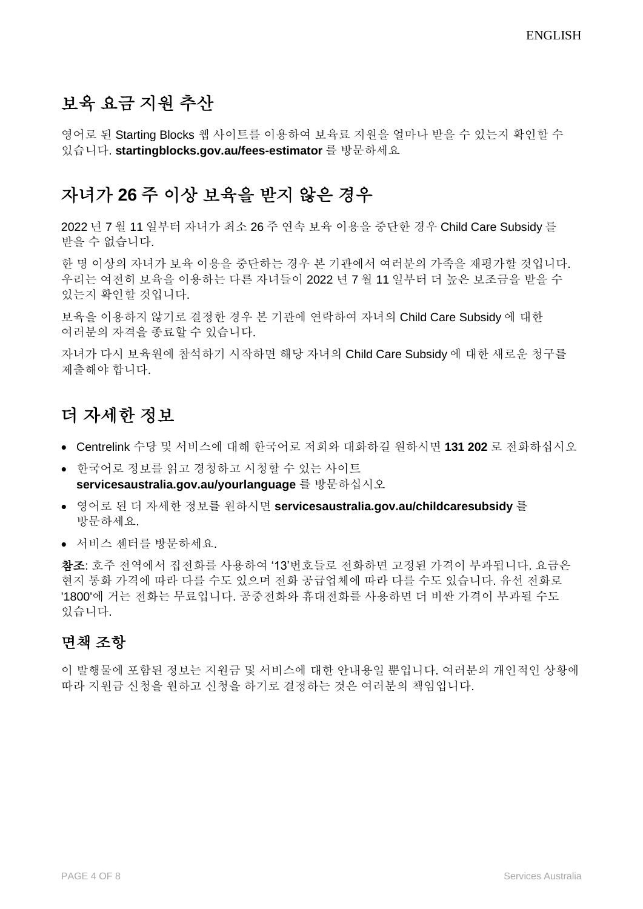# 보육 요금 지원 추산

영어로 된 Starting Blocks 웹 사이트를 이용하여 보육료 지원을 얼마나 받을 수 있는지 확인할 수 있습니다. **startingblocks.gov.au/fees-estimator** 를 방문하세요

### 자녀가 **26** 주 이상 보육을 받지 않은 경우

2022 년 7 월 11 일부터 자녀가 최소 26 주 연속 보육 이용을 중단한 경우 Child Care Subsidy 를 받을 수 없습니다.

한 명 이상의 자녀가 보육 이용을 중단하는 경우 본 기관에서 여러분의 가족을 재평가할 것입니다. 우리는 여전히 보육을 이용하는 다른 자녀들이 2022 년 7 월 11 일부터 더 높은 보조금을 받을 수 있는지 확인할 것입니다.

보육을 이용하지 않기로 결정한 경우 본 기관에 연락하여 자녀의 Child Care Subsidy 에 대한 여러분의 자격을 종료할 수 있습니다.

자녀가 다시 보육원에 참석하기 시작하면 해당 자녀의 Child Care Subsidy 에 대한 새로운 청구를 제출해야 합니다.

### 더 자세한 정보

- Centrelink 수당 및 서비스에 대해 한국어로 저희와 대화하길 원하시면 **131 202** 로 전화하십시오
- 한국어로 정보를 읽고 경청하고 시청할 수 있는 사이트 **[servicesaustralia.gov.au/yourlanguage](http://humanservices.gov.au/yourlanguage)** 를 방문하십시오
- 영어로 된 더 자세한 정보를 원하시면 **[servicesaustralia.gov.au/childcaresubsidy](https://www.humanservices.gov.au/individuals/services/centrelink/child-care-subsidy)** 를 방문하세요.
- 서비스 센터를 방문하세요.

참조: 호주 전역에서 집전화를 사용하여 '13'번호들로 전화하면 고정된 가격이 부과됩니다. 요금은 현지 통화 가격에 따라 다를 수도 있으며 전화 공급업체에 따라 다를 수도 있습니다. 유선 전화로 '1800'에 거는 전화는 무료입니다. 공중전화와 휴대전화를 사용하면 더 비싼 가격이 부과될 수도 있습니다.

#### 면책 조항

이 발행물에 포함된 정보는 지원금 및 서비스에 대한 안내용일 뿐입니다. 여러분의 개인적인 상황에 따라 지원금 신청을 원하고 신청을 하기로 결정하는 것은 여러분의 책임입니다.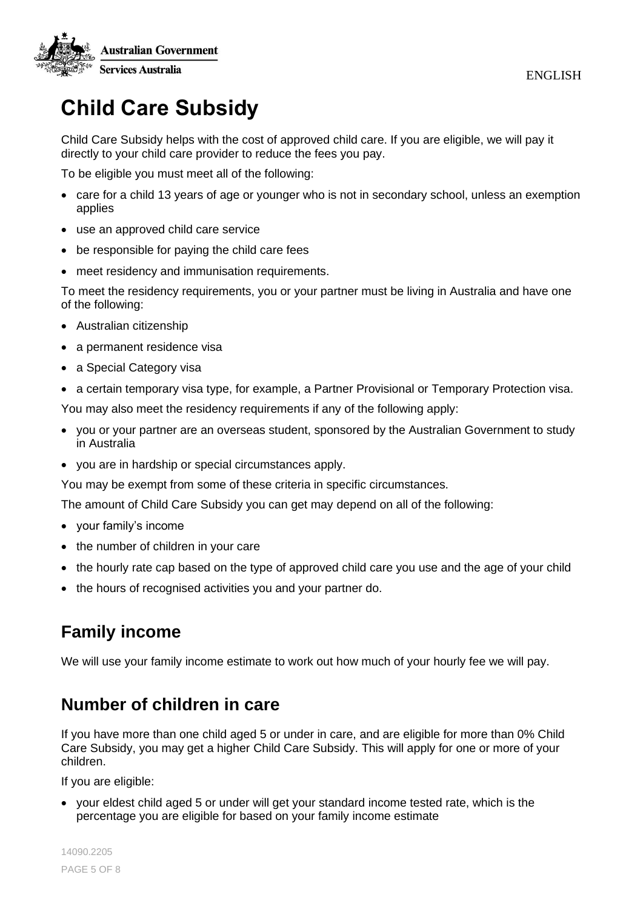

# **Child Care Subsidy**

Child Care Subsidy helps with the cost of approved child care. If you are eligible, we will pay it directly to your child care provider to reduce the fees you pay.

To be eligible you must meet all of the following:

- care for a child 13 years of age or younger who is not in secondary school, unless an exemption applies
- use an approved child care service
- be responsible for paying the child care fees
- meet residency and immunisation requirements.

To meet the residency requirements, you or your partner must be living in Australia and have one of the following:

- Australian citizenship
- a permanent residence visa
- a Special Category visa
- a certain temporary visa type, for example, a Partner Provisional or Temporary Protection visa.

You may also meet the residency requirements if any of the following apply:

- you or your partner are an overseas student, sponsored by the Australian Government to study in Australia
- you are in hardship or special circumstances apply.

You may be exempt from some of these criteria in specific circumstances.

The amount of Child Care Subsidy you can get may depend on all of the following:

- your family's income
- the number of children in your care
- the hourly rate cap based on the type of approved child care you use and the age of your child
- the hours of recognised activities you and your partner do.

# **Family income**

We will use your family income estimate to work out how much of your hourly fee we will pay.

### **Number of children in care**

If you have more than one child aged 5 or under in care, and are eligible for more than 0% Child Care Subsidy, you may get a higher Child Care Subsidy. This will apply for one or more of your children.

If you are eligible:

• your eldest child aged 5 or under will get your standard income tested rate, which is the percentage you are eligible for based on your family income estimate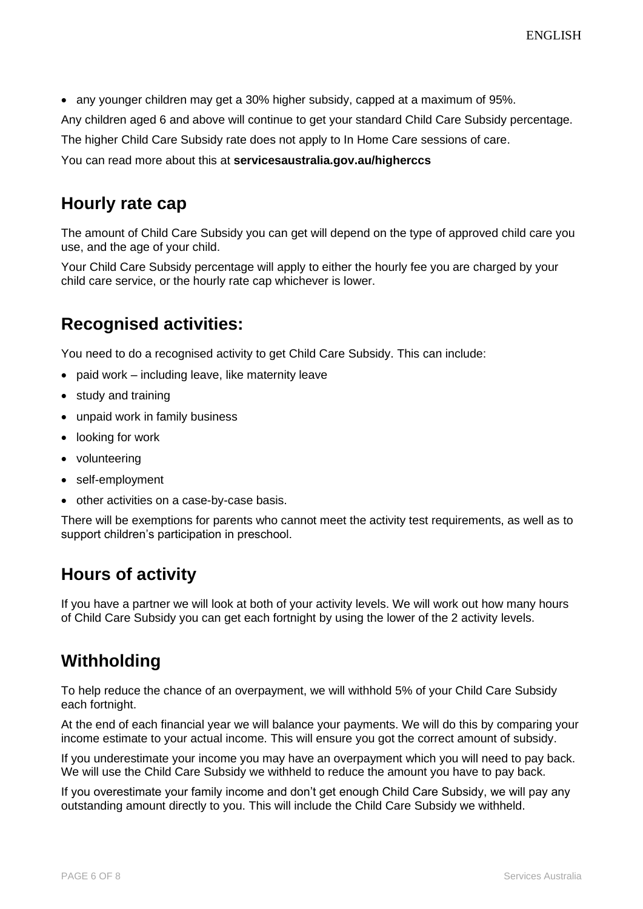• any younger children may get a 30% higher subsidy, capped at a maximum of 95%.

Any children aged 6 and above will continue to get your standard Child Care Subsidy percentage.

The higher Child Care Subsidy rate does not apply to In Home Care sessions of care.

You can read more about this at **servicesaustralia.gov.au/higherccs**

#### **Hourly rate cap**

The amount of Child Care Subsidy you can get will depend on the type of approved child care you use, and the age of your child.

Your Child Care Subsidy percentage will apply to either the hourly fee you are charged by your child care service, or the hourly rate cap whichever is lower.

### **Recognised activities:**

You need to do a recognised activity to get Child Care Subsidy. This can include:

- paid work including leave, like maternity leave
- study and training
- unpaid work in family business
- looking for work
- volunteering
- self-employment
- other activities on a case-by-case basis.

There will be exemptions for parents who cannot meet the activity test requirements, as well as to support children's participation in preschool.

### **Hours of activity**

If you have a partner we will look at both of your activity levels. We will work out how many hours of Child Care Subsidy you can get each fortnight by using the lower of the 2 activity levels.

### **Withholding**

To help reduce the chance of an overpayment, we will withhold 5% of your Child Care Subsidy each fortnight.

At the end of each financial year we will balance your payments. We will do this by comparing your income estimate to your actual income. This will ensure you got the correct amount of subsidy.

If you underestimate your income you may have an overpayment which you will need to pay back. We will use the Child Care Subsidy we withheld to reduce the amount you have to pay back.

If you overestimate your family income and don't get enough Child Care Subsidy, we will pay any outstanding amount directly to you. This will include the Child Care Subsidy we withheld.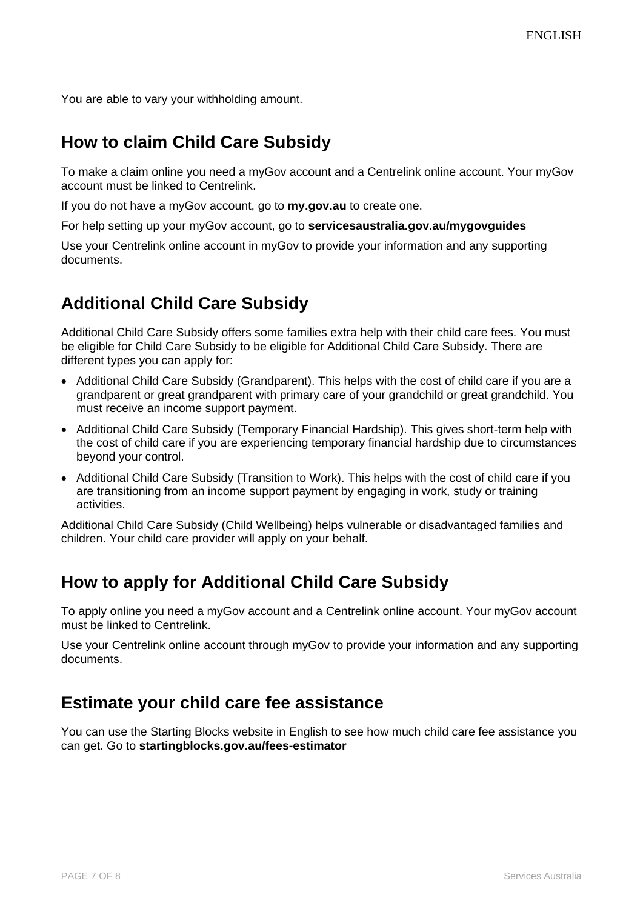You are able to vary your withholding amount.

#### **How to claim Child Care Subsidy**

To make a claim online you need a myGov account and a Centrelink online account. Your myGov account must be linked to Centrelink.

If you do not have a myGov account, go to **my.gov.au** to create one.

For help setting up your myGov account, go to **servicesaustralia.gov.au/mygovguides**

Use your Centrelink online account in myGov to provide your information and any supporting documents.

### **Additional Child Care Subsidy**

Additional Child Care Subsidy offers some families extra help with their child care fees. You must be eligible for Child Care Subsidy to be eligible for Additional Child Care Subsidy. There are different types you can apply for:

- Additional Child Care Subsidy (Grandparent). This helps with the cost of child care if you are a grandparent or great grandparent with primary care of your grandchild or great grandchild. You must receive an income support payment.
- Additional Child Care Subsidy (Temporary Financial Hardship). This gives short-term help with the cost of child care if you are experiencing temporary financial hardship due to circumstances beyond your control.
- Additional Child Care Subsidy (Transition to Work). This helps with the cost of child care if you are transitioning from an income support payment by engaging in work, study or training activities.

Additional Child Care Subsidy (Child Wellbeing) helps vulnerable or disadvantaged families and children. Your child care provider will apply on your behalf.

### **How to apply for Additional Child Care Subsidy**

To apply online you need a myGov account and a Centrelink online account. Your myGov account must be linked to Centrelink.

Use your Centrelink online account through myGov to provide your information and any supporting documents.

### **Estimate your child care fee assistance**

You can use the Starting Blocks website in English to see how much child care fee assistance you can get. Go to **startingblocks.gov.au/fees-estimator**